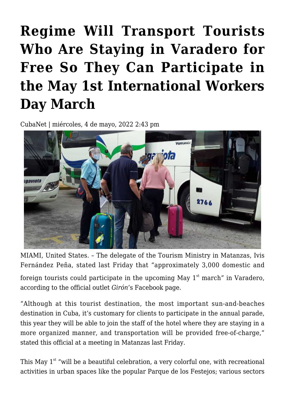## **[Regime Will Transport Tourists](https://www.cubanet.org/english/regime-will-transport-tourists-who-are-staying-in-varadero-for-free-so-they-can-participate-in-the-may-1st-international-workers-day-march/) [Who Are Staying in Varadero for](https://www.cubanet.org/english/regime-will-transport-tourists-who-are-staying-in-varadero-for-free-so-they-can-participate-in-the-may-1st-international-workers-day-march/) [Free So They Can Participate in](https://www.cubanet.org/english/regime-will-transport-tourists-who-are-staying-in-varadero-for-free-so-they-can-participate-in-the-may-1st-international-workers-day-march/) [the May 1st International Workers](https://www.cubanet.org/english/regime-will-transport-tourists-who-are-staying-in-varadero-for-free-so-they-can-participate-in-the-may-1st-international-workers-day-march/) [Day March](https://www.cubanet.org/english/regime-will-transport-tourists-who-are-staying-in-varadero-for-free-so-they-can-participate-in-the-may-1st-international-workers-day-march/)**

CubaNet | miércoles, 4 de mayo, 2022 2:43 pm



MIAMI, United States. – The delegate of the Tourism Ministry in Matanzas, Ivis Fernández Peña, stated last Friday that "approximately 3,000 domestic and

foreign tourists could participate in the upcoming May  $1<sup>st</sup>$  march" in Varadero, according to the official outlet *Girón*'s Facebook page.

"Although at this tourist destination, the most important sun-and-beaches destination in Cuba, it's customary for clients to participate in the annual parade, this year they will be able to join the staff of the hotel where they are staying in a more organized manner, and transportation will be provided free-of-charge," stated this official at a meeting in Matanzas last Friday.

This May  $1^{st}$  "will be a beautiful celebration, a very colorful one, with recreational activities in urban spaces like the popular Parque de los Festejos; various sectors